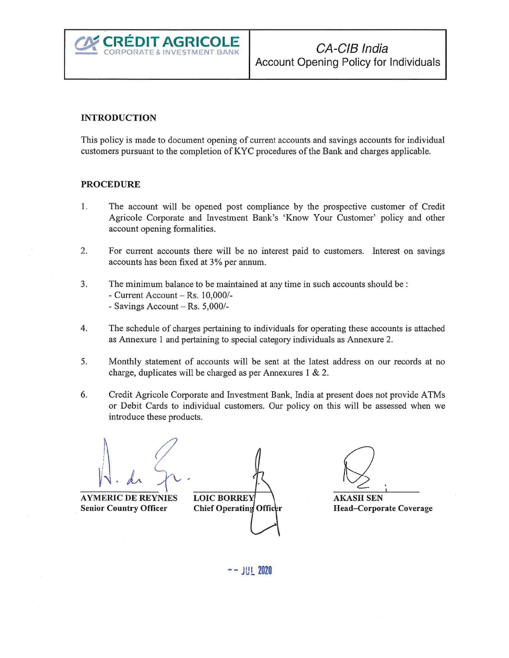

# **INTRODUCTION**

This policy is made to document opening of current accounts and savings accounts for individual customers pursuant to the completion of KYC procedures of the Bank and charges applicable.

# **PROCEDURE**

- 1. The account will be opened post compliance by the prospective customer of Credit Agricole Corporate and Investment Bank's 'Know Your Customer' policy and other account opening formalities.
- 2. For current accounts there will be no interest paid to customers. Interest on savings accounts has been fixed at 3% per annum.
- 3. The minimum balance to be maintained at any time in such accounts should be: - Current Account - Rs. 10,000/-- Savings Account - Rs. 5,000/-
- 4. The schedule of charges pertaining to individuals for operating these accounts is attached as Annexure 1 and pertaining to special category individuals as Annexure 2.
- 5. Monthly statement of accounts will be sent at the latest address on our records at no charge, duplicates will be charged as per Annexures  $1 \& 2$ .
- 6. Credit Agricole Corporate and Investment Bank, India at present does not provide ATMs or Debit Cards to individual customers. Our policy on this will be assessed when we introduce these products.

**AYMERIC DE REYNIES Senior Country Officer** 

**LOIC BORREY Chief Operating Officer** 

**AKASH SEN** Head-Corporate Coverage

 $--$  JUL 2020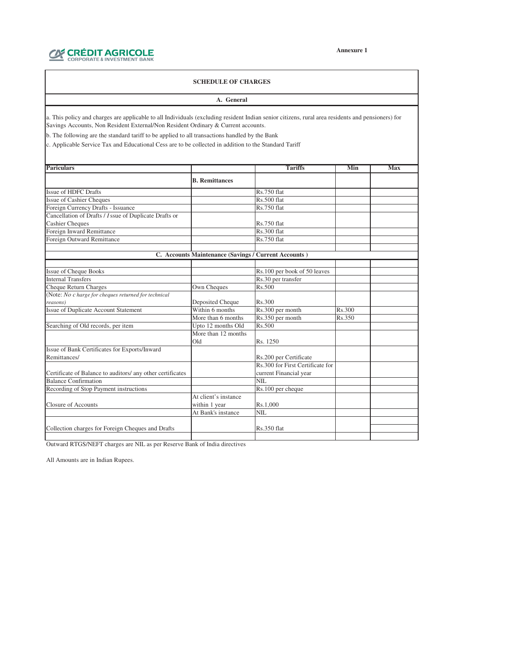

**Annexure 1**

### **SCHEDULE OF CHARGES**

### **A. General**

a. This policy and charges are applicable to all Individuals (excluding resident Indian senior citizens, rural area residents and pensioners) for Savings Accounts, Non Resident External/Non Resident Ordinary & Current accounts.

b. The following are the standard tariff to be applied to all transactions handled by the Bank

c. Applicable Service Tax and Educational Cess are to be collected in addition to the Standard Tariff

| <b>Pariculars</b>                                          |                                                      | <b>Tariffs</b>                   | Min    | <b>Max</b> |
|------------------------------------------------------------|------------------------------------------------------|----------------------------------|--------|------------|
|                                                            | <b>B.</b> Remittances                                |                                  |        |            |
| <b>Issue of HDFC Drafts</b>                                |                                                      | <b>Rs.750 flat</b>               |        |            |
| Issue of Cashier Cheques                                   |                                                      | Rs.500 flat                      |        |            |
| Foreign Currency Drafts - Issuance                         |                                                      | Rs.750 flat                      |        |            |
| Cancellation of Drafts / I ssue of Duplicate Drafts or     |                                                      |                                  |        |            |
| <b>Cashier Cheques</b>                                     |                                                      | <b>Rs.750 flat</b>               |        |            |
| Foreign Inward Remittance                                  |                                                      | Rs.300 flat                      |        |            |
| Foreign Outward Remittance                                 |                                                      | Rs.750 flat                      |        |            |
|                                                            |                                                      |                                  |        |            |
|                                                            | C. Accounts Maintenance (Savings / Current Accounts) |                                  |        |            |
|                                                            |                                                      |                                  |        |            |
| Issue of Cheque Books                                      |                                                      | Rs.100 per book of 50 leaves     |        |            |
| <b>Internal Transfers</b>                                  |                                                      | Rs.30 per transfer               |        |            |
| Cheque Return Charges                                      | Own Cheques                                          | Rs.500                           |        |            |
| (Note: No c harge for cheques returned for technical       |                                                      |                                  |        |            |
| reasons)                                                   | Deposited Cheque                                     | Rs.300                           |        |            |
| Issue of Duplicate Account Statement                       | Within 6 months                                      | Rs.300 per month                 | Rs.300 |            |
|                                                            | More than 6 months                                   | Rs.350 per month                 | Rs.350 |            |
| Searching of Old records, per item                         | Upto 12 months Old                                   | Rs.500                           |        |            |
|                                                            | More than 12 months                                  |                                  |        |            |
|                                                            | Old                                                  | Rs. 1250                         |        |            |
| Issue of Bank Certificates for Exports/Inward              |                                                      |                                  |        |            |
| Remittances/                                               |                                                      | Rs.200 per Certificate           |        |            |
|                                                            |                                                      | Rs.300 for First Certificate for |        |            |
| Certificate of Balance to auditors/ any other certificates |                                                      | current Financial year           |        |            |
| <b>Balance Confirmation</b>                                |                                                      | NII.                             |        |            |
| Recording of Stop Payment instructions                     |                                                      | Rs.100 per cheque                |        |            |
|                                                            | At client's instance                                 |                                  |        |            |
| <b>Closure of Accounts</b>                                 | within 1 year                                        | Rs.1.000                         |        |            |
|                                                            | At Bank's instance                                   | NII.                             |        |            |
|                                                            |                                                      |                                  |        |            |
| Collection charges for Foreign Cheques and Drafts          |                                                      | Rs.350 flat                      |        |            |
|                                                            |                                                      |                                  |        |            |

Outward RTGS/NEFT charges are NIL as per Reserve Bank of India directives

All Amounts are in Indian Rupees.